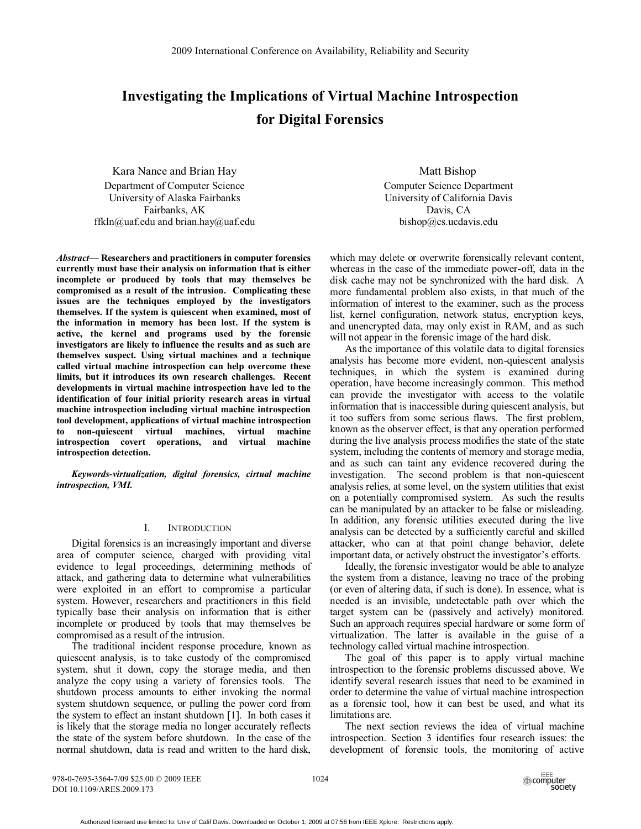# **Investigating the Implications of Virtual Machine Introspection for Digital Forensics**

Kara Nance and Brian Hay Department of Computer Science University of Alaska Fairbanks Fairbanks, AK ffkln@uaf.edu and brian.hay@uaf.edu

*Abstract***— Researchers and practitioners in computer forensics currently must base their analysis on information that is either incomplete or produced by tools that may themselves be compromised as a result of the intrusion. Complicating these issues are the techniques employed by the investigators themselves. If the system is quiescent when examined, most of the information in memory has been lost. If the system is active, the kernel and programs used by the forensic investigators are likely to influence the results and as such are themselves suspect. Using virtual machines and a technique called virtual machine introspection can help overcome these limits, but it introduces its own research challenges. Recent developments in virtual machine introspection have led to the identification of four initial priority research areas in virtual machine introspection including virtual machine introspection tool development, applications of virtual machine introspection to non-quiescent virtual machines, virtual machine introspection covert operations, and virtual machine introspection detection.** 

*Keywords-virtualization, digital forensics, cirtual machine introspection, VMI.* 

#### I. INTRODUCTION

Digital forensics is an increasingly important and diverse area of computer science, charged with providing vital evidence to legal proceedings, determining methods of attack, and gathering data to determine what vulnerabilities were exploited in an effort to compromise a particular system. However, researchers and practitioners in this field typically base their analysis on information that is either incomplete or produced by tools that may themselves be compromised as a result of the intrusion.

The traditional incident response procedure, known as quiescent analysis, is to take custody of the compromised system, shut it down, copy the storage media, and then analyze the copy using a variety of forensics tools. The shutdown process amounts to either invoking the normal system shutdown sequence, or pulling the power cord from the system to effect an instant shutdown [1]. In both cases it is likely that the storage media no longer accurately reflects the state of the system before shutdown. In the case of the normal shutdown, data is read and written to the hard disk,

Matt Bishop Computer Science Department University of California Davis Davis, CA bishop@cs.ucdavis.edu

which may delete or overwrite forensically relevant content, whereas in the case of the immediate power-off, data in the disk cache may not be synchronized with the hard disk. A more fundamental problem also exists, in that much of the information of interest to the examiner, such as the process list, kernel configuration, network status, encryption keys, and unencrypted data, may only exist in RAM, and as such will not appear in the forensic image of the hard disk.

As the importance of this volatile data to digital forensics analysis has become more evident, non-quiescent analysis techniques, in which the system is examined during operation, have become increasingly common. This method can provide the investigator with access to the volatile information that is inaccessible during quiescent analysis, but it too suffers from some serious flaws. The first problem, known as the observer effect, is that any operation performed during the live analysis process modifies the state of the state system, including the contents of memory and storage media, and as such can taint any evidence recovered during the investigation. The second problem is that non-quiescent analysis relies, at some level, on the system utilities that exist on a potentially compromised system. As such the results can be manipulated by an attacker to be false or misleading. In addition, any forensic utilities executed during the live analysis can be detected by a sufficiently careful and skilled attacker, who can at that point change behavior, delete important data, or actively obstruct the investigator's efforts.

Ideally, the forensic investigator would be able to analyze the system from a distance, leaving no trace of the probing (or even of altering data, if such is done). In essence, what is needed is an invisible, undetectable path over which the target system can be (passively and actively) monitored. Such an approach requires special hardware or some form of virtualization. The latter is available in the guise of a technology called virtual machine introspection.

The goal of this paper is to apply virtual machine introspection to the forensic problems discussed above. We identify several research issues that need to be examined in order to determine the value of virtual machine introspection as a forensic tool, how it can best be used, and what its limitations are.

The next section reviews the idea of virtual machine introspection. Section 3 identifies four research issues: the development of forensic tools, the monitoring of active

978-0-7695-3564-7/09 \$25.00 © 2009 IEEE DOI 10.1109/ARES.2009.173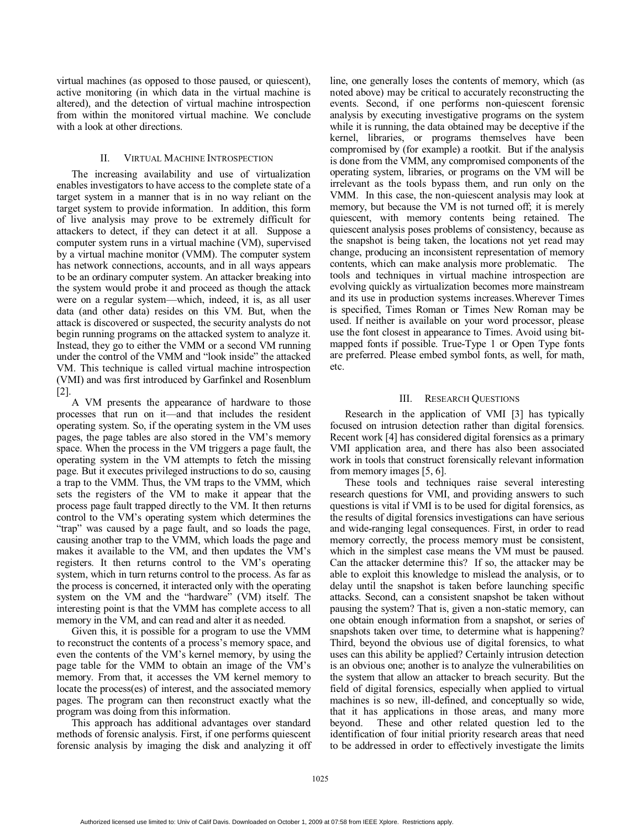virtual machines (as opposed to those paused, or quiescent), active monitoring (in which data in the virtual machine is altered), and the detection of virtual machine introspection from within the monitored virtual machine. We conclude with a look at other directions.

#### II. VIRTUAL MACHINE INTROSPECTION

The increasing availability and use of virtualization enables investigators to have access to the complete state of a target system in a manner that is in no way reliant on the target system to provide information. In addition, this form of live analysis may prove to be extremely difficult for attackers to detect, if they can detect it at all. Suppose a computer system runs in a virtual machine (VM), supervised by a virtual machine monitor (VMM). The computer system has network connections, accounts, and in all ways appears to be an ordinary computer system. An attacker breaking into the system would probe it and proceed as though the attack were on a regular system—which, indeed, it is, as all user data (and other data) resides on this VM. But, when the attack is discovered or suspected, the security analysts do not begin running programs on the attacked system to analyze it. Instead, they go to either the VMM or a second VM running under the control of the VMM and "look inside" the attacked VM. This technique is called virtual machine introspection (VMI) and was first introduced by Garfinkel and Rosenblum [2].

A VM presents the appearance of hardware to those processes that run on it—and that includes the resident operating system. So, if the operating system in the VM uses pages, the page tables are also stored in the VM's memory space. When the process in the VM triggers a page fault, the operating system in the VM attempts to fetch the missing page. But it executes privileged instructions to do so, causing a trap to the VMM. Thus, the VM traps to the VMM, which sets the registers of the VM to make it appear that the process page fault trapped directly to the VM. It then returns control to the VM's operating system which determines the "trap" was caused by a page fault, and so loads the page, causing another trap to the VMM, which loads the page and makes it available to the VM, and then updates the VM's registers. It then returns control to the VM's operating system, which in turn returns control to the process. As far as the process is concerned, it interacted only with the operating system on the VM and the "hardware" (VM) itself. The interesting point is that the VMM has complete access to all memory in the VM, and can read and alter it as needed.

Given this, it is possible for a program to use the VMM to reconstruct the contents of a process's memory space, and even the contents of the VM's kernel memory, by using the page table for the VMM to obtain an image of the VM's memory. From that, it accesses the VM kernel memory to locate the process(es) of interest, and the associated memory pages. The program can then reconstruct exactly what the program was doing from this information.

This approach has additional advantages over standard methods of forensic analysis. First, if one performs quiescent forensic analysis by imaging the disk and analyzing it off line, one generally loses the contents of memory, which (as noted above) may be critical to accurately reconstructing the events. Second, if one performs non-quiescent forensic analysis by executing investigative programs on the system while it is running, the data obtained may be deceptive if the kernel, libraries, or programs themselves have been compromised by (for example) a rootkit. But if the analysis is done from the VMM, any compromised components of the operating system, libraries, or programs on the VM will be irrelevant as the tools bypass them, and run only on the VMM. In this case, the non-quiescent analysis may look at memory, but because the VM is not turned off; it is merely quiescent, with memory contents being retained. The quiescent analysis poses problems of consistency, because as the snapshot is being taken, the locations not yet read may change, producing an inconsistent representation of memory contents, which can make analysis more problematic. The tools and techniques in virtual machine introspection are evolving quickly as virtualization becomes more mainstream and its use in production systems increases.Wherever Times is specified, Times Roman or Times New Roman may be used. If neither is available on your word processor, please use the font closest in appearance to Times. Avoid using bitmapped fonts if possible. True-Type 1 or Open Type fonts are preferred. Please embed symbol fonts, as well, for math, etc.

## III. RESEARCH QUESTIONS

Research in the application of VMI [3] has typically focused on intrusion detection rather than digital forensics. Recent work [4] has considered digital forensics as a primary VMI application area, and there has also been associated work in tools that construct forensically relevant information from memory images [5, 6].

These tools and techniques raise several interesting research questions for VMI, and providing answers to such questions is vital if VMI is to be used for digital forensics, as the results of digital forensics investigations can have serious and wide-ranging legal consequences. First, in order to read memory correctly, the process memory must be consistent, which in the simplest case means the VM must be paused. Can the attacker determine this? If so, the attacker may be able to exploit this knowledge to mislead the analysis, or to delay until the snapshot is taken before launching specific attacks. Second, can a consistent snapshot be taken without pausing the system? That is, given a non-static memory, can one obtain enough information from a snapshot, or series of snapshots taken over time, to determine what is happening? Third, beyond the obvious use of digital forensics, to what uses can this ability be applied? Certainly intrusion detection is an obvious one; another is to analyze the vulnerabilities on the system that allow an attacker to breach security. But the field of digital forensics, especially when applied to virtual machines is so new, ill-defined, and conceptually so wide, that it has applications in those areas, and many more beyond. These and other related question led to the identification of four initial priority research areas that need to be addressed in order to effectively investigate the limits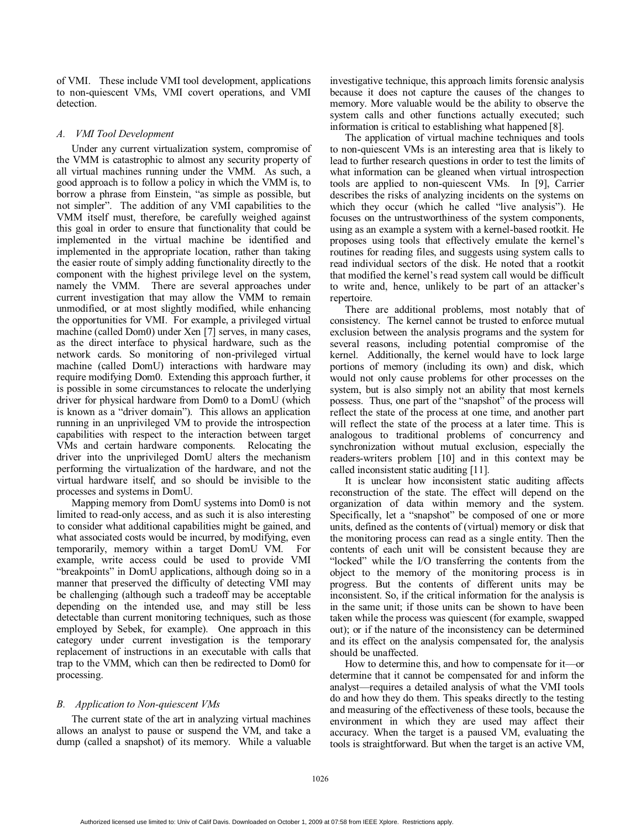of VMI. These include VMI tool development, applications to non-quiescent VMs, VMI covert operations, and VMI detection.

### *A. VMI Tool Development*

Under any current virtualization system, compromise of the VMM is catastrophic to almost any security property of all virtual machines running under the VMM. As such, a good approach is to follow a policy in which the VMM is, to borrow a phrase from Einstein, "as simple as possible, but not simpler". The addition of any VMI capabilities to the VMM itself must, therefore, be carefully weighed against this goal in order to ensure that functionality that could be implemented in the virtual machine be identified and implemented in the appropriate location, rather than taking the easier route of simply adding functionality directly to the component with the highest privilege level on the system, namely the VMM. There are several approaches under current investigation that may allow the VMM to remain unmodified, or at most slightly modified, while enhancing the opportunities for VMI. For example, a privileged virtual machine (called Dom0) under Xen [7] serves, in many cases, as the direct interface to physical hardware, such as the network cards. So monitoring of non-privileged virtual machine (called DomU) interactions with hardware may require modifying Dom0. Extending this approach further, it is possible in some circumstances to relocate the underlying driver for physical hardware from Dom0 to a DomU (which is known as a "driver domain"). This allows an application running in an unprivileged VM to provide the introspection capabilities with respect to the interaction between target VMs and certain hardware components. Relocating the driver into the unprivileged DomU alters the mechanism performing the virtualization of the hardware, and not the virtual hardware itself, and so should be invisible to the processes and systems in DomU.

Mapping memory from DomU systems into Dom0 is not limited to read-only access, and as such it is also interesting to consider what additional capabilities might be gained, and what associated costs would be incurred, by modifying, even temporarily, memory within a target DomU VM. For example, write access could be used to provide VMI "breakpoints" in DomU applications, although doing so in a manner that preserved the difficulty of detecting VMI may be challenging (although such a tradeoff may be acceptable depending on the intended use, and may still be less detectable than current monitoring techniques, such as those employed by Sebek, for example). One approach in this category under current investigation is the temporary replacement of instructions in an executable with calls that trap to the VMM, which can then be redirected to Dom0 for processing.

## *B. Application to Non-quiescent VMs*

The current state of the art in analyzing virtual machines allows an analyst to pause or suspend the VM, and take a dump (called a snapshot) of its memory. While a valuable investigative technique, this approach limits forensic analysis because it does not capture the causes of the changes to memory. More valuable would be the ability to observe the system calls and other functions actually executed; such information is critical to establishing what happened [8].

The application of virtual machine techniques and tools to non-quiescent VMs is an interesting area that is likely to lead to further research questions in order to test the limits of what information can be gleaned when virtual introspection tools are applied to non-quiescent VMs. In [9], Carrier describes the risks of analyzing incidents on the systems on which they occur (which he called "live analysis"). He focuses on the untrustworthiness of the system components, using as an example a system with a kernel-based rootkit. He proposes using tools that effectively emulate the kernel's routines for reading files, and suggests using system calls to read individual sectors of the disk. He noted that a rootkit that modified the kernel's read system call would be difficult to write and, hence, unlikely to be part of an attacker's repertoire.

There are additional problems, most notably that of consistency. The kernel cannot be trusted to enforce mutual exclusion between the analysis programs and the system for several reasons, including potential compromise of the kernel. Additionally, the kernel would have to lock large portions of memory (including its own) and disk, which would not only cause problems for other processes on the system, but is also simply not an ability that most kernels possess. Thus, one part of the "snapshot" of the process will reflect the state of the process at one time, and another part will reflect the state of the process at a later time. This is analogous to traditional problems of concurrency and synchronization without mutual exclusion, especially the readers-writers problem [10] and in this context may be called inconsistent static auditing [11].

It is unclear how inconsistent static auditing affects reconstruction of the state. The effect will depend on the organization of data within memory and the system. Specifically, let a "snapshot" be composed of one or more units, defined as the contents of (virtual) memory or disk that the monitoring process can read as a single entity. Then the contents of each unit will be consistent because they are "locked" while the I/O transferring the contents from the object to the memory of the monitoring process is in progress. But the contents of different units may be inconsistent. So, if the critical information for the analysis is in the same unit; if those units can be shown to have been taken while the process was quiescent (for example, swapped out); or if the nature of the inconsistency can be determined and its effect on the analysis compensated for, the analysis should be unaffected.

How to determine this, and how to compensate for it—or determine that it cannot be compensated for and inform the analyst—requires a detailed analysis of what the VMI tools do and how they do them. This speaks directly to the testing and measuring of the effectiveness of these tools, because the environment in which they are used may affect their accuracy. When the target is a paused VM, evaluating the tools is straightforward. But when the target is an active VM,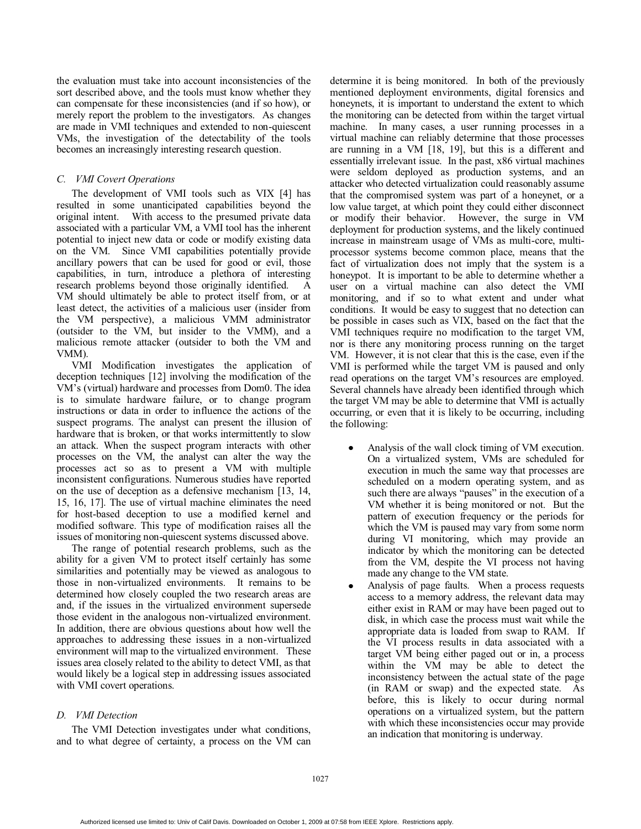the evaluation must take into account inconsistencies of the sort described above, and the tools must know whether they can compensate for these inconsistencies (and if so how), or merely report the problem to the investigators. As changes are made in VMI techniques and extended to non-quiescent VMs, the investigation of the detectability of the tools becomes an increasingly interesting research question.

## *C. VMI Covert Operations*

The development of VMI tools such as VIX [4] has resulted in some unanticipated capabilities beyond the original intent. With access to the presumed private data associated with a particular VM, a VMI tool has the inherent potential to inject new data or code or modify existing data on the VM. Since VMI capabilities potentially provide ancillary powers that can be used for good or evil, those capabilities, in turn, introduce a plethora of interesting research problems beyond those originally identified. A VM should ultimately be able to protect itself from, or at least detect, the activities of a malicious user (insider from the VM perspective), a malicious VMM administrator (outsider to the VM, but insider to the VMM), and a malicious remote attacker (outsider to both the VM and VMM).

VMI Modification investigates the application of deception techniques [12] involving the modification of the VM's (virtual) hardware and processes from Dom0. The idea is to simulate hardware failure, or to change program instructions or data in order to influence the actions of the suspect programs. The analyst can present the illusion of hardware that is broken, or that works intermittently to slow an attack. When the suspect program interacts with other processes on the VM, the analyst can alter the way the processes act so as to present a VM with multiple inconsistent configurations. Numerous studies have reported on the use of deception as a defensive mechanism [13, 14, 15, 16, 17]. The use of virtual machine eliminates the need for host-based deception to use a modified kernel and modified software. This type of modification raises all the issues of monitoring non-quiescent systems discussed above.

The range of potential research problems, such as the ability for a given VM to protect itself certainly has some similarities and potentially may be viewed as analogous to those in non-virtualized environments. It remains to be determined how closely coupled the two research areas are and, if the issues in the virtualized environment supersede those evident in the analogous non-virtualized environment. In addition, there are obvious questions about how well the approaches to addressing these issues in a non-virtualized environment will map to the virtualized environment. These issues area closely related to the ability to detect VMI, as that would likely be a logical step in addressing issues associated with VMI covert operations.

## *D. VMI Detection*

The VMI Detection investigates under what conditions, and to what degree of certainty, a process on the VM can determine it is being monitored. In both of the previously mentioned deployment environments, digital forensics and honeynets, it is important to understand the extent to which the monitoring can be detected from within the target virtual machine. In many cases, a user running processes in a virtual machine can reliably determine that those processes are running in a VM [18, 19], but this is a different and essentially irrelevant issue. In the past, x86 virtual machines were seldom deployed as production systems, and an attacker who detected virtualization could reasonably assume that the compromised system was part of a honeynet, or a low value target, at which point they could either disconnect or modify their behavior. However, the surge in VM deployment for production systems, and the likely continued increase in mainstream usage of VMs as multi-core, multiprocessor systems become common place, means that the fact of virtualization does not imply that the system is a honeypot. It is important to be able to determine whether a user on a virtual machine can also detect the VMI monitoring, and if so to what extent and under what conditions. It would be easy to suggest that no detection can be possible in cases such as VIX, based on the fact that the VMI techniques require no modification to the target VM, nor is there any monitoring process running on the target VM. However, it is not clear that this is the case, even if the VMI is performed while the target VM is paused and only read operations on the target VM's resources are employed. Several channels have already been identified through which the target VM may be able to determine that VMI is actually occurring, or even that it is likely to be occurring, including the following:

- Analysis of the wall clock timing of VM execution. On a virtualized system, VMs are scheduled for execution in much the same way that processes are scheduled on a modern operating system, and as such there are always "pauses" in the execution of a VM whether it is being monitored or not. But the pattern of execution frequency or the periods for which the VM is paused may vary from some norm during VI monitoring, which may provide an indicator by which the monitoring can be detected from the VM, despite the VI process not having made any change to the VM state.
- Analysis of page faults. When a process requests access to a memory address, the relevant data may either exist in RAM or may have been paged out to disk, in which case the process must wait while the appropriate data is loaded from swap to RAM. If the VI process results in data associated with a target VM being either paged out or in, a process within the VM may be able to detect the inconsistency between the actual state of the page (in RAM or swap) and the expected state. As before, this is likely to occur during normal operations on a virtualized system, but the pattern with which these inconsistencies occur may provide an indication that monitoring is underway.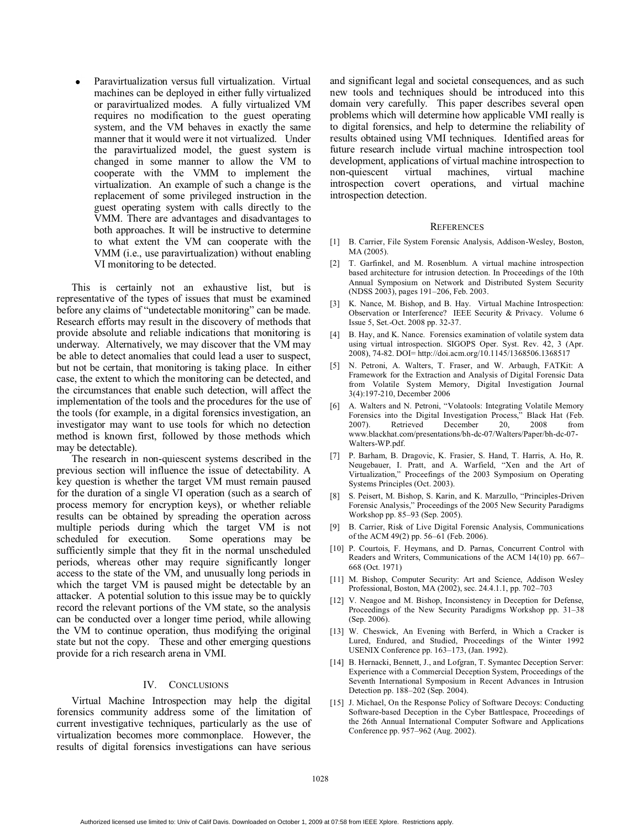Paravirtualization versus full virtualization. Virtual machines can be deployed in either fully virtualized or paravirtualized modes. A fully virtualized VM requires no modification to the guest operating system, and the VM behaves in exactly the same manner that it would were it not virtualized. Under the paravirtualized model, the guest system is changed in some manner to allow the VM to cooperate with the VMM to implement the virtualization. An example of such a change is the replacement of some privileged instruction in the guest operating system with calls directly to the VMM. There are advantages and disadvantages to both approaches. It will be instructive to determine to what extent the VM can cooperate with the VMM (i.e., use paravirtualization) without enabling VI monitoring to be detected.

This is certainly not an exhaustive list, but is representative of the types of issues that must be examined before any claims of "undetectable monitoring" can be made. Research efforts may result in the discovery of methods that provide absolute and reliable indications that monitoring is underway. Alternatively, we may discover that the VM may be able to detect anomalies that could lead a user to suspect, but not be certain, that monitoring is taking place. In either case, the extent to which the monitoring can be detected, and the circumstances that enable such detection, will affect the implementation of the tools and the procedures for the use of the tools (for example, in a digital forensics investigation, an investigator may want to use tools for which no detection method is known first, followed by those methods which may be detectable).

The research in non-quiescent systems described in the previous section will influence the issue of detectability. A key question is whether the target VM must remain paused for the duration of a single VI operation (such as a search of process memory for encryption keys), or whether reliable results can be obtained by spreading the operation across multiple periods during which the target VM is not scheduled for execution. Some operations may be sufficiently simple that they fit in the normal unscheduled periods, whereas other may require significantly longer access to the state of the VM, and unusually long periods in which the target VM is paused might be detectable by an attacker. A potential solution to this issue may be to quickly record the relevant portions of the VM state, so the analysis can be conducted over a longer time period, while allowing the VM to continue operation, thus modifying the original state but not the copy. These and other emerging questions provide for a rich research arena in VMI.

#### IV. CONCLUSIONS

Virtual Machine Introspection may help the digital forensics community address some of the limitation of current investigative techniques, particularly as the use of virtualization becomes more commonplace. However, the results of digital forensics investigations can have serious

and significant legal and societal consequences, and as such new tools and techniques should be introduced into this domain very carefully. This paper describes several open problems which will determine how applicable VMI really is to digital forensics, and help to determine the reliability of results obtained using VMI techniques. Identified areas for future research include virtual machine introspection tool development, applications of virtual machine introspection to non-quiescent virtual machines, virtual machine introspection covert operations, and virtual machine introspection detection.

#### **REFERENCES**

- [1] B. Carrier, File System Forensic Analysis, Addison-Wesley, Boston, MA (2005).
- [2] T. Garfinkel, and M. Rosenblum. A virtual machine introspection based architecture for intrusion detection. In Proceedings of the 10th Annual Symposium on Network and Distributed System Security (NDSS 2003), pages 191–206, Feb. 2003.
- [3] K. Nance, M. Bishop, and B. Hay. Virtual Machine Introspection: Observation or Interference? IEEE Security & Privacy. Volume 6 Issue 5, Set.-Oct. 2008 pp. 32-37.
- [4] B. Hay, and K. Nance. Forensics examination of volatile system data using virtual introspection. SIGOPS Oper. Syst. Rev. 42, 3 (Apr. 2008), 74-82. DOI= http://doi.acm.org/10.1145/1368506.1368517
- [5] N. Petroni, A. Walters, T. Fraser, and W. Arbaugh, FATKit: A Framework for the Extraction and Analysis of Digital Forensic Data from Volatile System Memory, Digital Investigation Journal 3(4):197-210, December 2006
- [6] A. Walters and N. Petroni, "Volatools: Integrating Volatile Memory Forensics into the Digital Investigation Process," Black Hat (Feb. 2007). Retrieved December 20. 2008 from December www.blackhat.com/presentations/bh-dc-07/Walters/Paper/bh-dc-07- Walters-WP.pdf.
- [7] P. Barham, B. Dragovic, K. Frasier, S. Hand, T. Harris, A. Ho, R. Neugebauer, I. Pratt, and A. Warfield, "Xen and the Art of Virtualization," Proceefings of the 2003 Symposium on Operating Systems Principles (Oct. 2003).
- [8] S. Peisert, M. Bishop, S. Karin, and K. Marzullo, "Principles-Driven Forensic Analysis," Proceedings of the 2005 New Security Paradigms Workshop pp. 85–93 (Sep. 2005).
- [9] B. Carrier, Risk of Live Digital Forensic Analysis, Communications of the ACM 49(2) pp. 56–61 (Feb. 2006).
- [10] P. Courtois, F. Heymans, and D. Parnas, Concurrent Control with Readers and Writers, Communications of the ACM 14(10) pp. 667– 668 (Oct. 1971)
- [11] M. Bishop, Computer Security: Art and Science, Addison Wesley Professional, Boston, MA (2002), sec. 24.4.1.1, pp. 702–703
- [12] V. Neagoe and M. Bishop, Inconsistency in Deception for Defense, Proceedings of the New Security Paradigms Workshop pp. 31–38 (Sep. 2006).
- [13] W. Cheswick, An Evening with Berferd, in Which a Cracker is Lured, Endured, and Studied, Proceedings of the Winter 1992 USENIX Conference pp. 163–173, (Jan. 1992).
- [14] B. Hernacki, Bennett, J., and Lofgran, T. Symantec Deception Server: Experience with a Commercial Deception System, Proceedings of the Seventh International Symposium in Recent Advances in Intrusion Detection pp. 188–202 (Sep. 2004).
- [15] J. Michael, On the Response Policy of Software Decoys: Conducting Software-based Deception in the Cyber Battlespace, Proceedings of the 26th Annual International Computer Software and Applications Conference pp. 957–962 (Aug. 2002).